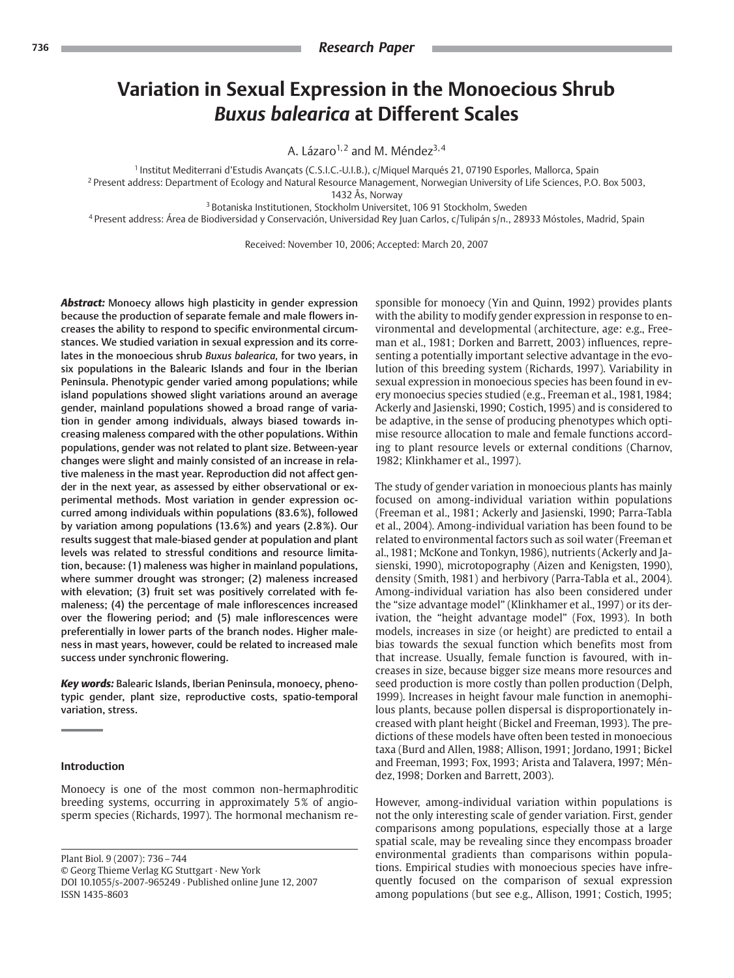# **Variation in Sexual Expression in the Monoecious Shrub** *Buxus balearica* **at Different Scales**

A. Lázaro<sup>1, 2</sup> and M. Méndez<sup>3, 4</sup>

<sup>1</sup> Institut Mediterrani d'Estudis Avancats (C.S.I.C.-U.I.B.), c/Miquel Marqués 21, 07190 Esporles, Mallorca, Spain <sup>2</sup> Present address: Department of Ecology and Natural Resource Management, Norwegian University of Life Sciences, P.O. Box 5003, 1432 Ås, Norway

<sup>3</sup> Botaniska Institutionen, Stockholm Universitet, 106 91 Stockholm, Sweden

<sup>4</sup> Present address: Área de Biodiversidad y Conservación, Universidad Rey Juan Carlos, c/Tulipán s/n., 28933 Móstoles, Madrid, Spain

Received: November 10, 2006; Accepted: March 20, 2007

*Abstract:* Monoecy allows high plasticity in gender expression because the production of separate female and male flowers increases the ability to respond to specific environmental circumstances. We studied variation in sexual expression and its correlates in the monoecious shrub *Buxus balearica,* for two years, in six populations in the Balearic Islands and four in the Iberian Peninsula. Phenotypic gender varied among populations; while island populations showed slight variations around an average gender, mainland populations showed a broad range of variation in gender among individuals, always biased towards increasing maleness compared with the other populations. Within populations, gender was not related to plant size. Between-year changes were slight and mainly consisted of an increase in relative maleness in the mast year. Reproduction did not affect gender in the next year, as assessed by either observational or experimental methods. Most variation in gender expression occurred among individuals within populations (83.6%), followed by variation among populations (13.6%) and years (2.8%). Our results suggest that male-biased gender at population and plant levels was related to stressful conditions and resource limitation, because: (1) maleness was higher in mainland populations, where summer drought was stronger; (2) maleness increased with elevation; (3) fruit set was positively correlated with femaleness; (4) the percentage of male inflorescences increased over the flowering period; and (5) male inflorescences were preferentially in lower parts of the branch nodes. Higher maleness in mast years, however, could be related to increased male success under synchronic flowering.

*Key words:* Balearic Islands, Iberian Peninsula, monoecy, phenotypic gender, plant size, reproductive costs, spatio-temporal variation, stress.

## **Introduction**

Monoecy is one of the most common non-hermaphroditic breeding systems, occurring in approximately 5% of angiosperm species (Richards, 1997). The hormonal mechanism re-

Plant Biol. 9 (2007): 736 – 744 © Georg Thieme Verlag KG Stuttgart · New York DOI 10.1055/s-2007-965249 · Published online June 12, 2007 ISSN 1435-8603

sponsible for monoecy (Yin and Quinn, 1992) provides plants with the ability to modify gender expression in response to environmental and developmental (architecture, age: e.g., Freeman et al., 1981; Dorken and Barrett, 2003) influences, representing a potentially important selective advantage in the evolution of this breeding system (Richards, 1997). Variability in sexual expression in monoecious species has been found in every monoecius species studied (e.g., Freeman et al., 1981, 1984; Ackerly and Jasienski, 1990; Costich, 1995) and is considered to be adaptive, in the sense of producing phenotypes which optimise resource allocation to male and female functions according to plant resource levels or external conditions (Charnov, 1982; Klinkhamer et al., 1997).

The study of gender variation in monoecious plants has mainly focused on among-individual variation within populations (Freeman et al., 1981; Ackerly and Jasienski, 1990; Parra-Tabla et al., 2004). Among-individual variation has been found to be related to environmental factors such as soil water (Freeman et al., 1981; McKone and Tonkyn, 1986), nutrients (Ackerly and Jasienski, 1990), microtopography (Aizen and Kenigsten, 1990), density (Smith, 1981) and herbivory (Parra-Tabla et al., 2004). Among-individual variation has also been considered under the "size advantage model" (Klinkhamer et al., 1997) or its derivation, the "height advantage model" (Fox, 1993). In both models, increases in size (or height) are predicted to entail a bias towards the sexual function which benefits most from that increase. Usually, female function is favoured, with increases in size, because bigger size means more resources and seed production is more costly than pollen production (Delph, 1999). Increases in height favour male function in anemophilous plants, because pollen dispersal is disproportionately increased with plant height (Bickel and Freeman, 1993). The predictions of these models have often been tested in monoecious taxa (Burd and Allen, 1988; Allison, 1991; Jordano, 1991; Bickel and Freeman, 1993; Fox, 1993; Arista and Talavera, 1997; Méndez, 1998; Dorken and Barrett, 2003).

However, among-individual variation within populations is not the only interesting scale of gender variation. First, gender comparisons among populations, especially those at a large spatial scale, may be revealing since they encompass broader environmental gradients than comparisons within populations. Empirical studies with monoecious species have infrequently focused on the comparison of sexual expression among populations (but see e.g., Allison, 1991; Costich, 1995;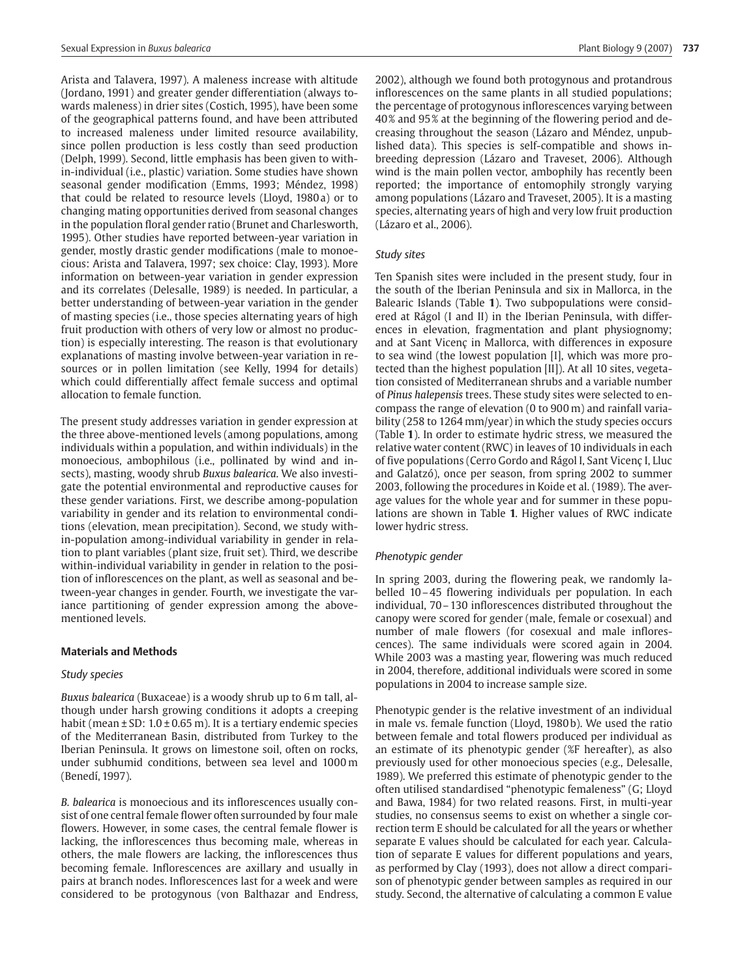Arista and Talavera, 1997). A maleness increase with altitude (Jordano, 1991) and greater gender differentiation (always towards maleness) in drier sites (Costich, 1995), have been some of the geographical patterns found, and have been attributed to increased maleness under limited resource availability, since pollen production is less costly than seed production (Delph, 1999). Second, little emphasis has been given to within-individual (i.e., plastic) variation. Some studies have shown seasonal gender modification (Emms, 1993; Méndez, 1998) that could be related to resource levels (Lloyd, 1980 a) or to changing mating opportunities derived from seasonal changes in the population floral gender ratio (Brunet and Charlesworth, 1995). Other studies have reported between-year variation in gender, mostly drastic gender modifications (male to monoecious: Arista and Talavera, 1997; sex choice: Clay, 1993). More information on between-year variation in gender expression and its correlates (Delesalle, 1989) is needed. In particular, a better understanding of between-year variation in the gender of masting species (i.e., those species alternating years of high fruit production with others of very low or almost no production) is especially interesting. The reason is that evolutionary explanations of masting involve between-year variation in resources or in pollen limitation (see Kelly, 1994 for details) which could differentially affect female success and optimal allocation to female function.

The present study addresses variation in gender expression at the three above-mentioned levels (among populations, among individuals within a population, and within individuals) in the monoecious, ambophilous (i.e., pollinated by wind and insects), masting, woody shrub *Buxus balearica*. We also investigate the potential environmental and reproductive causes for these gender variations. First, we describe among-population variability in gender and its relation to environmental conditions (elevation, mean precipitation). Second, we study within-population among-individual variability in gender in relation to plant variables (plant size, fruit set). Third, we describe within-individual variability in gender in relation to the position of inflorescences on the plant, as well as seasonal and between-year changes in gender. Fourth, we investigate the variance partitioning of gender expression among the abovementioned levels.

# **Materials and Methods**

# *Study species*

*Buxus balearica* (Buxaceae) is a woody shrub up to 6 m tall, although under harsh growing conditions it adopts a creeping habit (mean  $\pm$  SD: 1.0  $\pm$  0.65 m). It is a tertiary endemic species of the Mediterranean Basin, distributed from Turkey to the Iberian Peninsula. It grows on limestone soil, often on rocks, under subhumid conditions, between sea level and 1000 m (Benedí, 1997).

*B. balearica* is monoecious and its inflorescences usually consist of one central female flower often surrounded by four male flowers. However, in some cases, the central female flower is lacking, the inflorescences thus becoming male, whereas in others, the male flowers are lacking, the inflorescences thus becoming female. Inflorescences are axillary and usually in pairs at branch nodes. Inflorescences last for a week and were considered to be protogynous (von Balthazar and Endress, 2002), although we found both protogynous and protandrous inflorescences on the same plants in all studied populations; the percentage of protogynous inflorescences varying between 40% and 95% at the beginning of the flowering period and decreasing throughout the season (Lázaro and Méndez, unpublished data). This species is self-compatible and shows inbreeding depression (Lázaro and Traveset, 2006). Although wind is the main pollen vector, ambophily has recently been reported; the importance of entomophily strongly varying among populations (Lázaro and Traveset, 2005). It is a masting species, alternating years of high and very low fruit production (Lázaro et al., 2006).

# *Study sites*

Ten Spanish sites were included in the present study, four in the south of the Iberian Peninsula and six in Mallorca, in the Balearic Islands (Table **1**). Two subpopulations were considered at Rágol (I and II) in the Iberian Peninsula, with differences in elevation, fragmentation and plant physiognomy; and at Sant Vicenc in Mallorca, with differences in exposure to sea wind (the lowest population [I], which was more protected than the highest population [II]). At all 10 sites, vegetation consisted of Mediterranean shrubs and a variable number of *Pinus halepensis* trees. These study sites were selected to encompass the range of elevation (0 to 900 m) and rainfall variability (258 to 1264 mm/year) in which the study species occurs (Table **1**). In order to estimate hydric stress, we measured the relative water content (RWC) in leaves of 10 individuals in each of five populations (Cerro Gordo and Rágol I, Sant Vicenç I, Lluc and Galatzó), once per season, from spring 2002 to summer 2003, following the procedures in Koide et al. (1989). The average values for the whole year and for summer in these populations are shown in Table **1**. Higher values of RWC indicate lower hydric stress.

# *Phenotypic gender*

In spring 2003, during the flowering peak, we randomly labelled 10 – 45 flowering individuals per population. In each individual, 70 – 130 inflorescences distributed throughout the canopy were scored for gender (male, female or cosexual) and number of male flowers (for cosexual and male inflorescences). The same individuals were scored again in 2004. While 2003 was a masting year, flowering was much reduced in 2004, therefore, additional individuals were scored in some populations in 2004 to increase sample size.

Phenotypic gender is the relative investment of an individual in male vs. female function (Lloyd, 1980 b). We used the ratio between female and total flowers produced per individual as an estimate of its phenotypic gender (%F hereafter), as also previously used for other monoecious species (e.g., Delesalle, 1989). We preferred this estimate of phenotypic gender to the often utilised standardised "phenotypic femaleness" (G; Lloyd and Bawa, 1984) for two related reasons. First, in multi-year studies, no consensus seems to exist on whether a single correction term E should be calculated for all the years or whether separate E values should be calculated for each year. Calculation of separate E values for different populations and years, as performed by Clay (1993), does not allow a direct comparison of phenotypic gender between samples as required in our study. Second, the alternative of calculating a common E value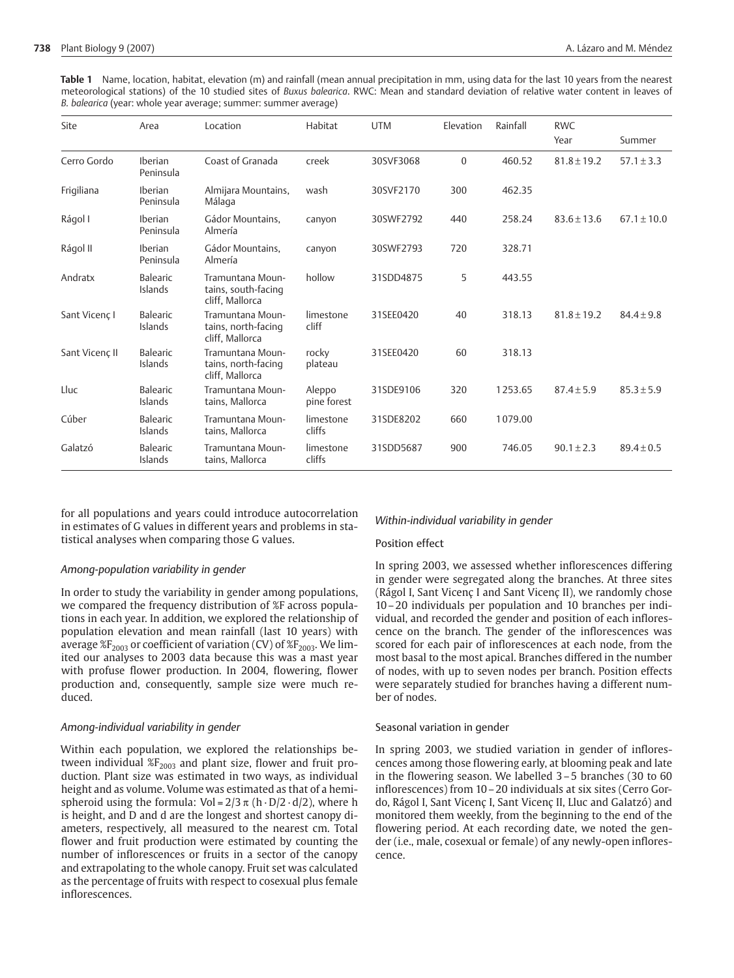**Table 1** Name, location, habitat, elevation (m) and rainfall (mean annual precipitation in mm, using data for the last 10 years from the nearest meteorological stations) of the 10 studied sites of *Buxus balearica*. RWC: Mean and standard deviation of relative water content in leaves of *B. balearica* (year: whole year average; summer: summer average)

| Site           | Area                        | Location                                                   | Habitat               | <b>UTM</b> | Elevation    | Rainfall | <b>RWC</b><br>Year | Summer          |
|----------------|-----------------------------|------------------------------------------------------------|-----------------------|------------|--------------|----------|--------------------|-----------------|
| Cerro Gordo    | <b>Iberian</b><br>Peninsula | Coast of Granada                                           | creek                 | 30SVF3068  | $\mathbf{0}$ | 460.52   | $81.8 \pm 19.2$    | $57.1 \pm 3.3$  |
| Frigiliana     | Iberian<br>Peninsula        | Almijara Mountains,<br>Málaga                              | wash                  | 30SVF2170  | 300          | 462.35   |                    |                 |
| Rágol I        | Iberian<br>Peninsula        | Gádor Mountains,<br>Almería                                | canyon                | 30SWF2792  | 440          | 258.24   | $83.6 \pm 13.6$    | $67.1 \pm 10.0$ |
| Rágol II       | Iberian<br>Peninsula        | Gádor Mountains,<br>Almería                                | canyon                | 30SWF2793  | 720          | 328.71   |                    |                 |
| Andratx        | Balearic<br>Islands         | Tramuntana Moun-<br>tains, south-facing<br>cliff. Mallorca | hollow                | 31SDD4875  | 5            | 443.55   |                    |                 |
| Sant Vicenc I  | <b>Balearic</b><br>Islands  | Tramuntana Moun-<br>tains, north-facing<br>cliff, Mallorca | limestone<br>cliff    | 31SEE0420  | 40           | 318.13   | $81.8 \pm 19.2$    | $84.4 \pm 9.8$  |
| Sant Vicenc II | Balearic<br>Islands         | Tramuntana Moun-<br>tains, north-facing<br>cliff, Mallorca | rocky<br>plateau      | 31SEE0420  | 60           | 318.13   |                    |                 |
| Lluc           | <b>Balearic</b><br>Islands  | Tramuntana Moun-<br>tains, Mallorca                        | Aleppo<br>pine forest | 31SDE9106  | 320          | 1253.65  | $87.4 \pm 5.9$     | $85.3 \pm 5.9$  |
| Cúber          | Balearic<br>Islands         | Tramuntana Moun-<br>tains, Mallorca                        | limestone<br>cliffs   | 31SDE8202  | 660          | 1079.00  |                    |                 |
| Galatzó        | Balearic<br>Islands         | Tramuntana Moun-<br>tains, Mallorca                        | limestone<br>cliffs   | 31SDD5687  | 900          | 746.05   | $90.1 \pm 2.3$     | $89.4 \pm 0.5$  |

for all populations and years could introduce autocorrelation in estimates of G values in different years and problems in statistical analyses when comparing those G values.

## *Among-population variability in gender*

In order to study the variability in gender among populations, we compared the frequency distribution of %F across populations in each year. In addition, we explored the relationship of population elevation and mean rainfall (last 10 years) with average  $E_{2003}$  or coefficient of variation (CV) of  $E_{2003}$ . We limited our analyses to 2003 data because this was a mast year with profuse flower production. In 2004, flowering, flower production and, consequently, sample size were much reduced.

## *Among-individual variability in gender*

Within each population, we explored the relationships between individual  $\mathscr{L}F_{2003}$  and plant size, flower and fruit production. Plant size was estimated in two ways, as individual height and as volume. Volume was estimated as that of a hemispheroid using the formula: Vol =  $2/3 \pi$  (h · D/2 · d/2), where h is height, and D and d are the longest and shortest canopy diameters, respectively, all measured to the nearest cm. Total flower and fruit production were estimated by counting the number of inflorescences or fruits in a sector of the canopy and extrapolating to the whole canopy. Fruit set was calculated as the percentage of fruits with respect to cosexual plus female inflorescences.

### *Within-individual variability in gender*

#### Position effect

In spring 2003, we assessed whether inflorescences differing in gender were segregated along the branches. At three sites (Rágol I, Sant Vicenç I and Sant Vicenç II), we randomly chose 10 – 20 individuals per population and 10 branches per individual, and recorded the gender and position of each inflorescence on the branch. The gender of the inflorescences was scored for each pair of inflorescences at each node, from the most basal to the most apical. Branches differed in the number of nodes, with up to seven nodes per branch. Position effects were separately studied for branches having a different number of nodes.

### Seasonal variation in gender

In spring 2003, we studied variation in gender of inflorescences among those flowering early, at blooming peak and late in the flowering season. We labelled 3 – 5 branches (30 to 60 inflorescences) from 10 – 20 individuals at six sites (Cerro Gordo, Rágol I, Sant Vicenç I, Sant Vicenç II, Lluc and Galatzó) and monitored them weekly, from the beginning to the end of the flowering period. At each recording date, we noted the gender (i.e., male, cosexual or female) of any newly-open inflorescence.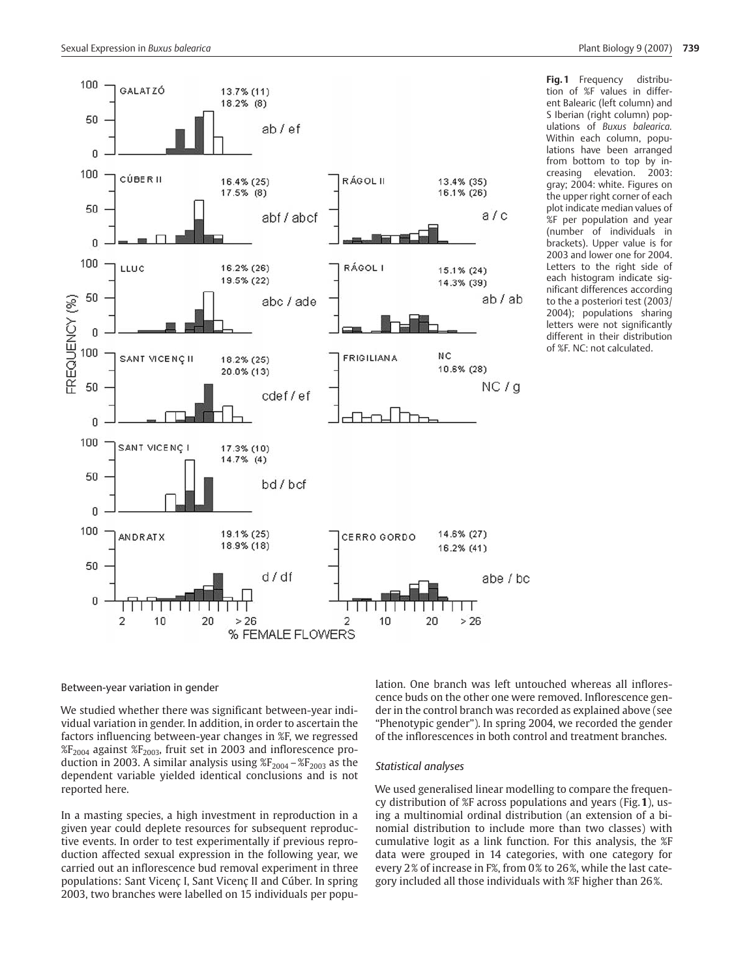

**Fig.1** Frequency distribution of %F values in different Balearic (left column) and S Iberian (right column) populations of *Buxus balearica.* Within each column, populations have been arranged from bottom to top by increasing elevation. 2003: gray; 2004: white. Figures on the upper right corner of each plot indicate median values of %F per population and year (number of individuals in brackets). Upper value is for 2003 and lower one for 2004. Letters to the right side of each histogram indicate significant differences according to the a posteriori test (2003/ 2004); populations sharing letters were not significantly different in their distribution of %F. NC: not calculated.

# Between-year variation in gender

We studied whether there was significant between-year individual variation in gender. In addition, in order to ascertain the factors influencing between-year changes in %F, we regressed  $E_{2004}$  against  $E_{2003}$ , fruit set in 2003 and inflorescence production in 2003. A similar analysis using  $\frac{1}{2004} - \frac{1}{2003}$  as the dependent variable yielded identical conclusions and is not reported here.

In a masting species, a high investment in reproduction in a given year could deplete resources for subsequent reproductive events. In order to test experimentally if previous reproduction affected sexual expression in the following year, we carried out an inflorescence bud removal experiment in three populations: Sant Vicenç I, Sant Vicenç II and Cúber. In spring 2003, two branches were labelled on 15 individuals per population. One branch was left untouched whereas all inflorescence buds on the other one were removed. Inflorescence gender in the control branch was recorded as explained above (see "Phenotypic gender"). In spring 2004, we recorded the gender of the inflorescences in both control and treatment branches.

#### *Statistical analyses*

We used generalised linear modelling to compare the frequency distribution of %F across populations and years (Fig.**1**), using a multinomial ordinal distribution (an extension of a binomial distribution to include more than two classes) with cumulative logit as a link function. For this analysis, the %F data were grouped in 14 categories, with one category for every 2% of increase in F%, from 0% to 26%, while the last category included all those individuals with %F higher than 26%.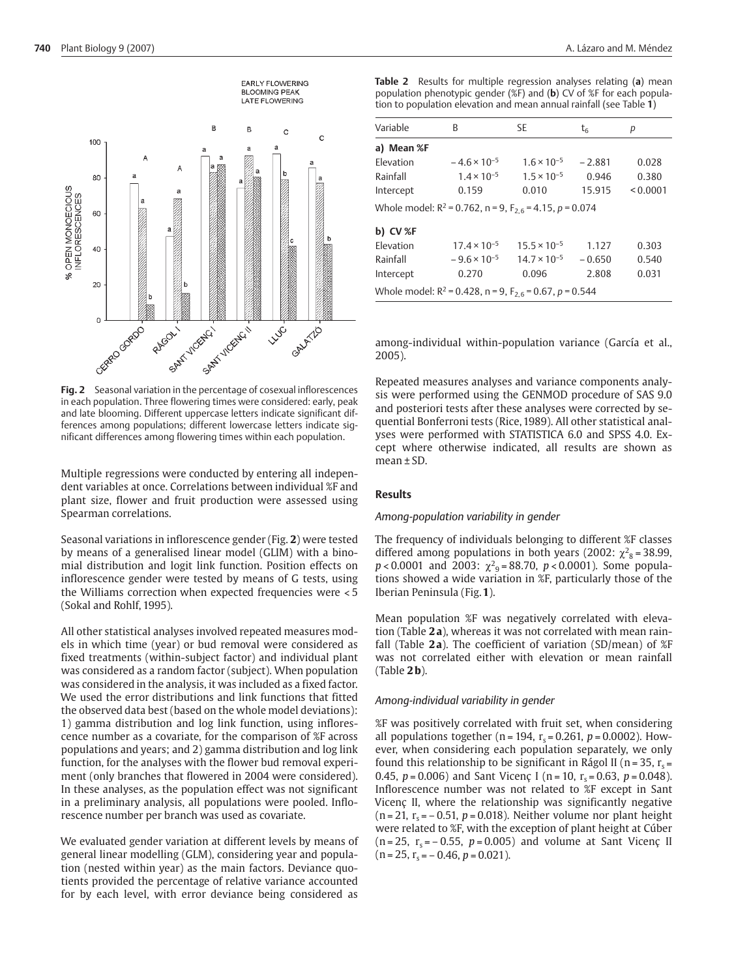

**Fig. 2** Seasonal variation in the percentage of cosexual inflorescences in each population. Three flowering times were considered: early, peak and late blooming. Different uppercase letters indicate significant differences among populations; different lowercase letters indicate significant differences among flowering times within each population.

Multiple regressions were conducted by entering all independent variables at once. Correlations between individual %F and plant size, flower and fruit production were assessed using Spearman correlations.

Seasonal variations in inflorescence gender (Fig. **2**) were tested by means of a generalised linear model (GLIM) with a binomial distribution and logit link function. Position effects on inflorescence gender were tested by means of G tests, using the Williams correction when expected frequencies were < 5 (Sokal and Rohlf, 1995).

All other statistical analyses involved repeated measures models in which time (year) or bud removal were considered as fixed treatments (within-subject factor) and individual plant was considered as a random factor (subject). When population was considered in the analysis, it was included as a fixed factor. We used the error distributions and link functions that fitted the observed data best (based on the whole model deviations): 1) gamma distribution and log link function, using inflorescence number as a covariate, for the comparison of %F across populations and years; and 2) gamma distribution and log link function, for the analyses with the flower bud removal experiment (only branches that flowered in 2004 were considered). In these analyses, as the population effect was not significant in a preliminary analysis, all populations were pooled. Inflorescence number per branch was used as covariate.

We evaluated gender variation at different levels by means of general linear modelling (GLM), considering year and population (nested within year) as the main factors. Deviance quotients provided the percentage of relative variance accounted for by each level, with error deviance being considered as **Table 2** Results for multiple regression analyses relating (**a**) mean population phenotypic gender (%F) and (**b**) CV of %F for each population to population elevation and mean annual rainfall (see Table **1**)

| Variable                                                              | B                     | <b>SE</b>             | t <sub>6</sub> | р        |  |
|-----------------------------------------------------------------------|-----------------------|-----------------------|----------------|----------|--|
| a) Mean %F                                                            |                       |                       |                |          |  |
| Elevation                                                             | $-4.6 \times 10^{-5}$ | $1.6 \times 10^{-5}$  | $-2.881$       | 0.028    |  |
| Rainfall                                                              | $1.4 \times 10^{-5}$  | $1.5 \times 10^{-5}$  | 0.946          | 0.380    |  |
| Intercept                                                             | 0.159                 | 0.010                 | 15.915         | < 0.0001 |  |
| Whole model: $R^2$ = 0.762, n = 9, $F_{2.6}$ = 4.15, p = 0.074        |                       |                       |                |          |  |
| <b>b) CV %F</b>                                                       |                       |                       |                |          |  |
| Elevation                                                             | $17.4 \times 10^{-5}$ | $15.5 \times 10^{-5}$ | 1.127          | 0.303    |  |
| Rainfall                                                              | $-9.6 \times 10^{-5}$ | $14.7 \times 10^{-5}$ | $-0.650$       | 0.540    |  |
| Intercept                                                             | 0.270                 | 0.096                 | 2.808          | 0.031    |  |
| Whole model: $R^2$ = 0.428, n = 9, F <sub>2.6</sub> = 0.67, p = 0.544 |                       |                       |                |          |  |

among-individual within-population variance (García et al., 2005).

Repeated measures analyses and variance components analysis were performed using the GENMOD procedure of SAS 9.0 and posteriori tests after these analyses were corrected by sequential Bonferroni tests (Rice, 1989). All other statistical analyses were performed with STATISTICA 6.0 and SPSS 4.0. Except where otherwise indicated, all results are shown as  $mean + SD$ 

## **Results**

#### *Among-population variability in gender*

The frequency of individuals belonging to different %F classes differed among populations in both years (2002:  $\chi^2$ <sub>8</sub> = 38.99,  $p < 0.0001$  and 2003:  $\chi^2$ <sub>9</sub> = 88.70,  $p < 0.0001$ ). Some populations showed a wide variation in %F, particularly those of the Iberian Peninsula (Fig.**1**).

Mean population %F was negatively correlated with elevation (Table **2 a**), whereas it was not correlated with mean rainfall (Table **2 a**). The coefficient of variation (SD/mean) of %F was not correlated either with elevation or mean rainfall (Table **2 b**).

## *Among-individual variability in gender*

%F was positively correlated with fruit set, when considering all populations together ( $n = 194$ ,  $r_s = 0.261$ ,  $p = 0.0002$ ). However, when considering each population separately, we only found this relationship to be significant in Rágol II (n = 35,  $r_s$  = 0.45,  $p = 0.006$ ) and Sant Vicenç I (n = 10, r<sub>s</sub> = 0.63,  $p = 0.048$ ). Inflorescence number was not related to %F except in Sant Vicenc II, where the relationship was significantly negative  $(n = 21, r_s = -0.51, p = 0.018)$ . Neither volume nor plant height were related to %F, with the exception of plant height at Cúber  $(n = 25, r_s = -0.55, p = 0.005)$  and volume at Sant Vicenç II  $(n = 25, r_s = -0.46, p = 0.021).$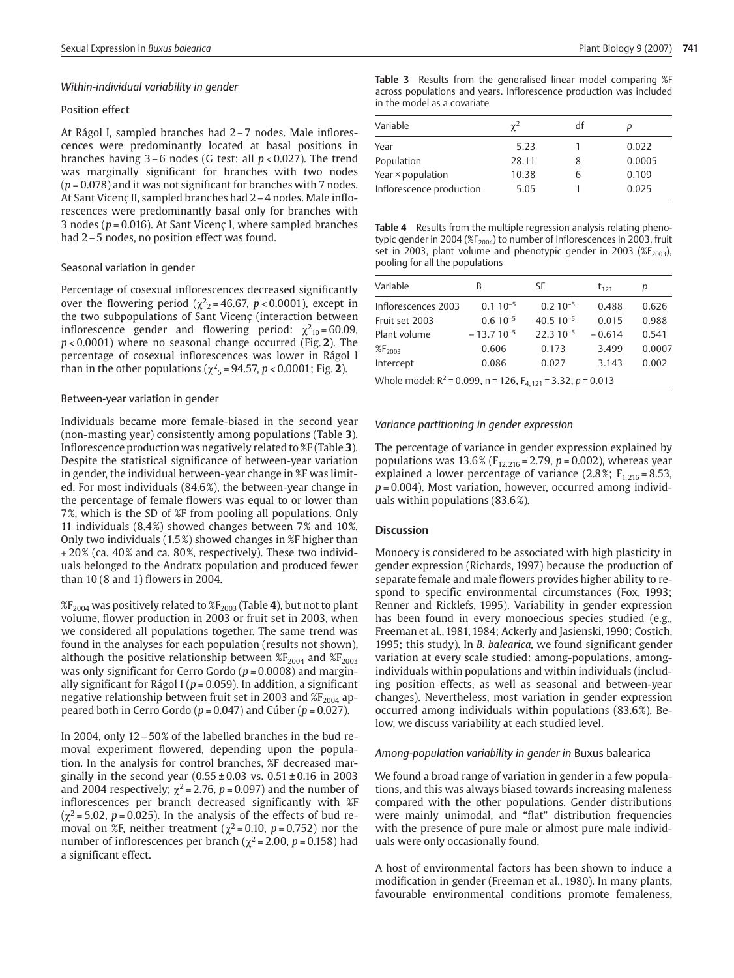### *Within-individual variability in gender*

## Position effect

At Rágol I, sampled branches had 2 – 7 nodes. Male inflorescences were predominantly located at basal positions in branches having 3 – 6 nodes (G test: all *p* < 0.027). The trend was marginally significant for branches with two nodes (*p* = 0.078) and it was not significant for branches with 7 nodes. At Sant Vicenç II, sampled branches had 2 – 4 nodes. Male inflorescences were predominantly basal only for branches with 3 nodes ( $p = 0.016$ ). At Sant Vicenc I, where sampled branches had 2 – 5 nodes, no position effect was found.

#### Seasonal variation in gender

Percentage of cosexual inflorescences decreased significantly over the flowering period ( $\chi^2$ <sub>2</sub> = 46.67, *p* < 0.0001), except in the two subpopulations of Sant Vicenç (interaction between inflorescence gender and flowering period:  $\chi^2_{10}$ =60.09, *p* < 0.0001) where no seasonal change occurred (Fig. **2**). The percentage of cosexual inflorescences was lower in Rágol I than in the other populations ( $\chi^2$ <sub>5</sub> = 94.57, *p* < 0.0001; Fig. **2**).

#### Between-year variation in gender

Individuals became more female-biased in the second year (non-masting year) consistently among populations (Table **3**). Inflorescence production was negatively related to %F (Table **3**). Despite the statistical significance of between-year variation in gender, the individual between-year change in %F was limited. For most individuals (84.6%), the between-year change in the percentage of female flowers was equal to or lower than 7%, which is the SD of %F from pooling all populations. Only 11 individuals (8.4%) showed changes between 7% and 10%. Only two individuals (1.5%) showed changes in %F higher than + 20% (ca. 40% and ca. 80%, respectively). These two individuals belonged to the Andratx population and produced fewer than 10 (8 and 1) flowers in 2004.

%F2004 was positively related to %F2003 (Table **4**), but not to plant volume, flower production in 2003 or fruit set in 2003, when we considered all populations together. The same trend was found in the analyses for each population (results not shown), although the positive relationship between  $\frac{8F_{2004}}{2}$  and  $\frac{8F_{2003}}{2}$ was only significant for Cerro Gordo ( $p = 0.0008$ ) and marginally significant for Rágol I ( $p = 0.059$ ). In addition, a significant negative relationship between fruit set in 2003 and  $\mathscr{E}F_{2004}$  appeared both in Cerro Gordo (*p* = 0.047) and Cúber (*p* = 0.027).

In 2004, only 12 – 50% of the labelled branches in the bud removal experiment flowered, depending upon the population. In the analysis for control branches, %F decreased marginally in the second year  $(0.55 \pm 0.03 \text{ vs. } 0.51 \pm 0.16 \text{ in } 2003$ and 2004 respectively;  $\chi^2$  = 2.76, p = 0.097) and the number of inflorescences per branch decreased significantly with %F  $(\chi^2 = 5.02, p = 0.025)$ . In the analysis of the effects of bud removal on %F, neither treatment ( $\chi^2$  = 0.10, *p* = 0.752) nor the number of inflorescences per branch ( $\chi^2$  = 2.00, *p* = 0.158) had a significant effect.

**Table 3** Results from the generalised linear model comparing %F across populations and years. Inflorescence production was included in the model as a covariate

| Variable                 | $\gamma^2$ | df | D      |
|--------------------------|------------|----|--------|
| Year                     | 5.23       |    | 0.022  |
| Population               | 28.11      | 8  | 0.0005 |
| Year × population        | 10.38      | ь  | 0.109  |
| Inflorescence production | 5.05       |    | 0.025  |

**Table 4** Results from the multiple regression analysis relating phenotypic gender in 2004 ( $\frac{1}{2004}$ ) to number of inflorescences in 2003, fruit set in 2003, plant volume and phenotypic gender in 2003 ( $\frac{1}{2003}$ ), pooling for all the populations

| Variable                                                           | В              | SE            | $t_{121}$ | р      |  |  |
|--------------------------------------------------------------------|----------------|---------------|-----------|--------|--|--|
| Inflorescences 2003                                                | $0.110^{-5}$   | $0.210^{-5}$  | 0.488     | 0.626  |  |  |
| Fruit set 2003                                                     | $0.6 10^{-5}$  | $40.510^{-5}$ | 0.015     | 0.988  |  |  |
| Plant volume                                                       | $-13.710^{-5}$ | $22.310^{-5}$ | $-0.614$  | 0.541  |  |  |
| %F <sub>2003</sub>                                                 | 0.606          | 0.173         | 3.499     | 0.0007 |  |  |
| Intercept                                                          | 0.086          | 0.027         | 3.143     | 0.002  |  |  |
| Whole model: $R^2$ = 0.099, n = 126, $F_{4,121}$ = 3.32, p = 0.013 |                |               |           |        |  |  |

#### *Variance partitioning in gender expression*

The percentage of variance in gender expression explained by populations was  $13.6\%$  (F<sub>12, 216</sub> = 2.79, p = 0.002), whereas year explained a lower percentage of variance (2.8%;  $F_{1,216} = 8.53$ , *p* = 0.004). Most variation, however, occurred among individuals within populations (83.6%).

#### **Discussion**

Monoecy is considered to be associated with high plasticity in gender expression (Richards, 1997) because the production of separate female and male flowers provides higher ability to respond to specific environmental circumstances (Fox, 1993; Renner and Ricklefs, 1995). Variability in gender expression has been found in every monoecious species studied (e.g., Freeman et al., 1981, 1984; Ackerly and Jasienski, 1990; Costich, 1995; this study). In *B. balearica,* we found significant gender variation at every scale studied: among-populations, amongindividuals within populations and within individuals (including position effects, as well as seasonal and between-year changes). Nevertheless, most variation in gender expression occurred among individuals within populations (83.6%). Below, we discuss variability at each studied level.

#### *Among-population variability in gender in* Buxus balearica

We found a broad range of variation in gender in a few populations, and this was always biased towards increasing maleness compared with the other populations. Gender distributions were mainly unimodal, and "flat" distribution frequencies with the presence of pure male or almost pure male individuals were only occasionally found.

A host of environmental factors has been shown to induce a modification in gender (Freeman et al., 1980). In many plants, favourable environmental conditions promote femaleness,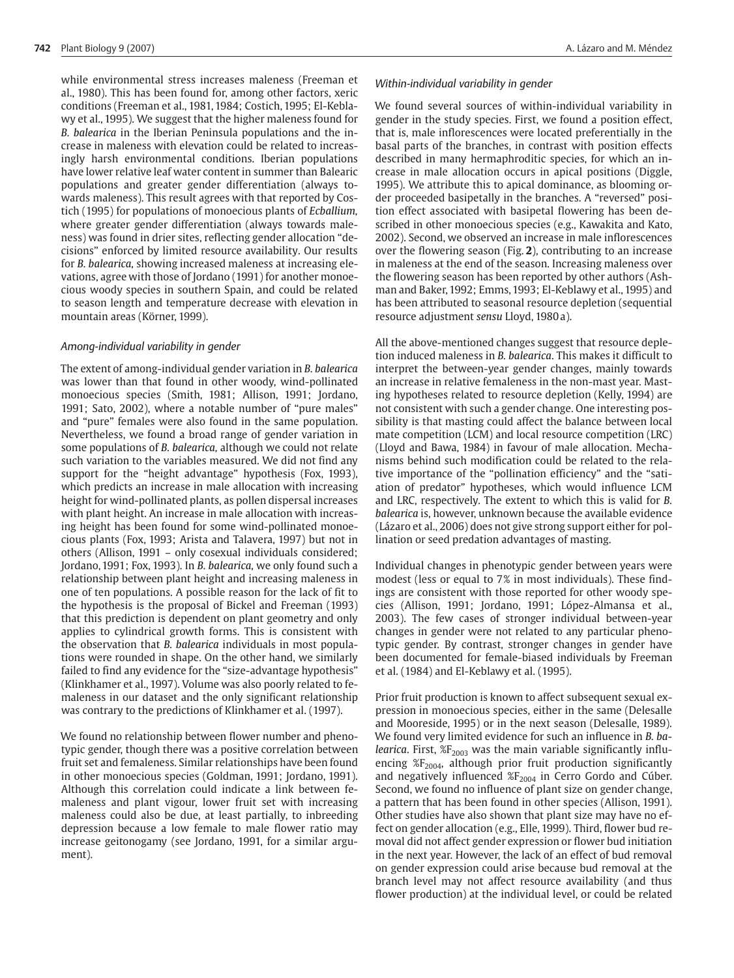while environmental stress increases maleness (Freeman et al., 1980). This has been found for, among other factors, xeric conditions (Freeman et al., 1981, 1984; Costich, 1995; El-Keblawy et al., 1995). We suggest that the higher maleness found for *B. balearica* in the Iberian Peninsula populations and the increase in maleness with elevation could be related to increasingly harsh environmental conditions. Iberian populations have lower relative leaf water content in summer than Balearic populations and greater gender differentiation (always towards maleness). This result agrees with that reported by Costich (1995) for populations of monoecious plants of *Ecballium,* where greater gender differentiation (always towards maleness) was found in drier sites, reflecting gender allocation "decisions" enforced by limited resource availability. Our results for *B. balearica,* showing increased maleness at increasing elevations, agree with those of Jordano (1991) for another monoecious woody species in southern Spain, and could be related to season length and temperature decrease with elevation in mountain areas (Körner, 1999).

# *Among-individual variability in gender*

The extent of among-individual gender variation in *B. balearica* was lower than that found in other woody, wind-pollinated monoecious species (Smith, 1981; Allison, 1991; Jordano, 1991; Sato, 2002), where a notable number of "pure males" and "pure" females were also found in the same population. Nevertheless, we found a broad range of gender variation in some populations of *B. balearica,* although we could not relate such variation to the variables measured. We did not find any support for the "height advantage" hypothesis (Fox, 1993), which predicts an increase in male allocation with increasing height for wind-pollinated plants, as pollen dispersal increases with plant height. An increase in male allocation with increasing height has been found for some wind-pollinated monoecious plants (Fox, 1993; Arista and Talavera, 1997) but not in others (Allison, 1991 – only cosexual individuals considered; Jordano,1991; Fox, 1993). In *B. balearica,* we only found such a relationship between plant height and increasing maleness in one of ten populations. A possible reason for the lack of fit to the hypothesis is the proposal of Bickel and Freeman (1993) that this prediction is dependent on plant geometry and only applies to cylindrical growth forms. This is consistent with the observation that *B. balearica* individuals in most populations were rounded in shape. On the other hand, we similarly failed to find any evidence for the "size-advantage hypothesis" (Klinkhamer et al., 1997). Volume was also poorly related to femaleness in our dataset and the only significant relationship was contrary to the predictions of Klinkhamer et al. (1997).

We found no relationship between flower number and phenotypic gender, though there was a positive correlation between fruit set and femaleness. Similar relationships have been found in other monoecious species (Goldman, 1991; Jordano, 1991). Although this correlation could indicate a link between femaleness and plant vigour, lower fruit set with increasing maleness could also be due, at least partially, to inbreeding depression because a low female to male flower ratio may increase geitonogamy (see Jordano, 1991, for a similar argument).

## *Within-individual variability in gender*

We found several sources of within-individual variability in gender in the study species. First, we found a position effect, that is, male inflorescences were located preferentially in the basal parts of the branches, in contrast with position effects described in many hermaphroditic species, for which an increase in male allocation occurs in apical positions (Diggle, 1995). We attribute this to apical dominance, as blooming order proceeded basipetally in the branches. A "reversed" position effect associated with basipetal flowering has been described in other monoecious species (e.g., Kawakita and Kato, 2002). Second, we observed an increase in male inflorescences over the flowering season (Fig. **2**), contributing to an increase in maleness at the end of the season. Increasing maleness over the flowering season has been reported by other authors (Ashman and Baker, 1992; Emms, 1993; El-Keblawy et al., 1995) and has been attributed to seasonal resource depletion (sequential resource adjustment *sensu* Lloyd, 1980 a).

All the above-mentioned changes suggest that resource depletion induced maleness in *B. balearica*. This makes it difficult to interpret the between-year gender changes, mainly towards an increase in relative femaleness in the non-mast year. Masting hypotheses related to resource depletion (Kelly, 1994) are not consistent with such a gender change. One interesting possibility is that masting could affect the balance between local mate competition (LCM) and local resource competition (LRC) (Lloyd and Bawa, 1984) in favour of male allocation. Mechanisms behind such modification could be related to the relative importance of the "pollination efficiency" and the "satiation of predator" hypotheses, which would influence LCM and LRC, respectively. The extent to which this is valid for *B. balearica* is, however, unknown because the available evidence (Lázaro et al., 2006) does not give strong support either for pollination or seed predation advantages of masting.

Individual changes in phenotypic gender between years were modest (less or equal to 7% in most individuals). These findings are consistent with those reported for other woody species (Allison, 1991; Jordano, 1991; López-Almansa et al., 2003). The few cases of stronger individual between-year changes in gender were not related to any particular phenotypic gender. By contrast, stronger changes in gender have been documented for female-biased individuals by Freeman et al. (1984) and El-Keblawy et al. (1995).

Prior fruit production is known to affect subsequent sexual expression in monoecious species, either in the same (Delesalle and Mooreside, 1995) or in the next season (Delesalle, 1989). We found very limited evidence for such an influence in *B. balearica*. First,  $\mathscr{E}F_{2003}$  was the main variable significantly influencing  $E_{2004}$ , although prior fruit production significantly and negatively influenced  $\%F_{2004}$  in Cerro Gordo and Cúber. Second, we found no influence of plant size on gender change, a pattern that has been found in other species (Allison, 1991). Other studies have also shown that plant size may have no effect on gender allocation (e.g., Elle, 1999). Third, flower bud removal did not affect gender expression or flower bud initiation in the next year. However, the lack of an effect of bud removal on gender expression could arise because bud removal at the branch level may not affect resource availability (and thus flower production) at the individual level, or could be related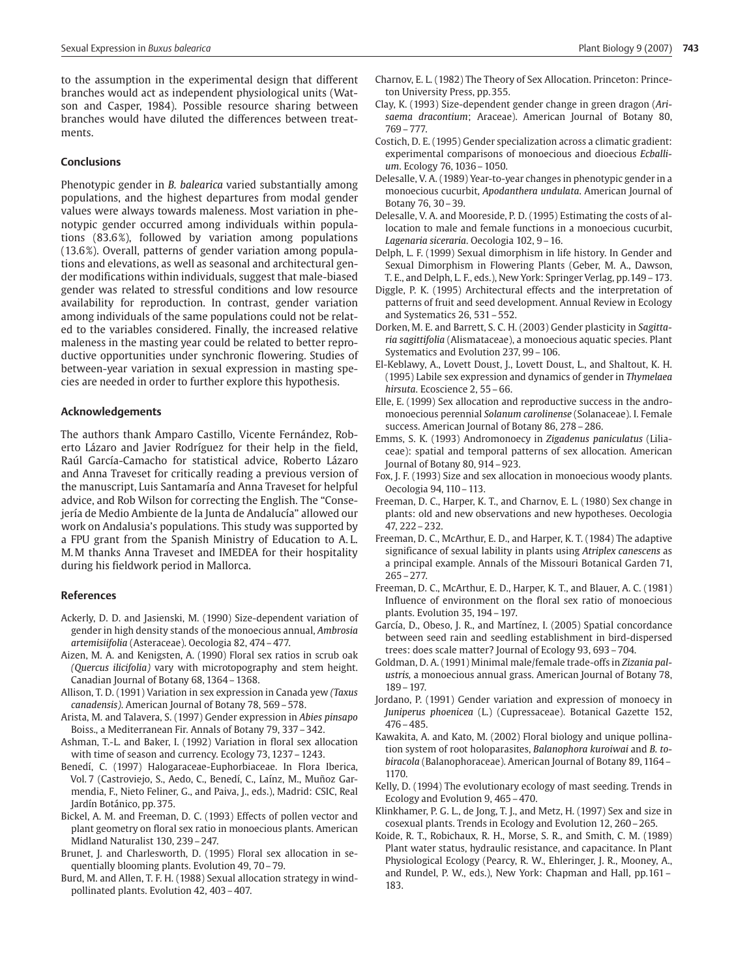to the assumption in the experimental design that different branches would act as independent physiological units (Watson and Casper, 1984). Possible resource sharing between branches would have diluted the differences between treatments.

#### **Conclusions**

Phenotypic gender in *B. balearica* varied substantially among populations, and the highest departures from modal gender values were always towards maleness. Most variation in phenotypic gender occurred among individuals within populations (83.6%), followed by variation among populations (13.6%). Overall, patterns of gender variation among populations and elevations, as well as seasonal and architectural gender modifications within individuals, suggest that male-biased gender was related to stressful conditions and low resource availability for reproduction. In contrast, gender variation among individuals of the same populations could not be related to the variables considered. Finally, the increased relative maleness in the masting year could be related to better reproductive opportunities under synchronic flowering. Studies of between-year variation in sexual expression in masting species are needed in order to further explore this hypothesis.

#### **Acknowledgements**

The authors thank Amparo Castillo, Vicente Fernández, Roberto Lázaro and Javier Rodríguez for their help in the field, Raúl García-Camacho for statistical advice, Roberto Lázaro and Anna Traveset for critically reading a previous version of the manuscript, Luis Santamaría and Anna Traveset for helpful advice, and Rob Wilson for correcting the English. The "Consejería de Medio Ambiente de la Junta de Andalucía" allowed our work on Andalusia's populations. This study was supported by a FPU grant from the Spanish Ministry of Education to A. L. M.M thanks Anna Traveset and IMEDEA for their hospitality during his fieldwork period in Mallorca.

### **References**

- Ackerly, D. D. and Jasienski, M. (1990) Size-dependent variation of gender in high density stands of the monoecious annual, *Ambrosia artemisiifolia* (Asteraceae). Oecologia 82, 474 – 477.
- Aizen, M. A. and Kenigsten, A. (1990) Floral sex ratios in scrub oak *(Quercus ilicifolia)* vary with microtopography and stem height. Canadian Journal of Botany 68, 1364 – 1368.
- Allison, T. D. (1991) Variation in sex expression in Canada yew *(Taxus canadensis)*. American Journal of Botany 78, 569 – 578.
- Arista, M. and Talavera, S. (1997) Gender expression in *Abies pinsapo* Boiss., a Mediterranean Fir. Annals of Botany 79, 337 – 342.
- Ashman, T.-L. and Baker, I. (1992) Variation in floral sex allocation with time of season and currency. Ecology 73, 1237 – 1243.
- Benedí, C. (1997) Halogaraceae-Euphorbiaceae. In Flora Iberica, Vol. 7 (Castroviejo, S., Aedo, C., Benedí, C., Laínz, M., Muñoz Garmendia, F., Nieto Feliner, G., and Paiva, J., eds.), Madrid: CSIC, Real Jardín Botánico, pp. 375.
- Bickel, A. M. and Freeman, D. C. (1993) Effects of pollen vector and plant geometry on floral sex ratio in monoecious plants. American Midland Naturalist 130, 239 – 247.
- Brunet, J. and Charlesworth, D. (1995) Floral sex allocation in sequentially blooming plants. Evolution 49, 70– 79.
- Burd, M. and Allen, T. F. H. (1988) Sexual allocation strategy in windpollinated plants. Evolution 42, 403 – 407.
- Charnov, E. L. (1982) The Theory of Sex Allocation. Princeton: Princeton University Press, pp. 355.
- Clay, K. (1993) Size-dependent gender change in green dragon (*Arisaema dracontium*; Araceae). American Journal of Botany 80, 769 – 777.
- Costich, D. E. (1995) Gender specialization across a climatic gradient: experimental comparisons of monoecious and dioecious *Ecballium*. Ecology 76, 1036 – 1050.
- Delesalle, V. A. (1989) Year-to-year changes in phenotypic gender in a monoecious cucurbit, *Apodanthera undulata*. American Journal of Botany 76, 30 – 39.
- Delesalle, V. A. and Mooreside, P. D. (1995) Estimating the costs of allocation to male and female functions in a monoecious cucurbit, *Lagenaria siceraria*. Oecologia 102, 9 – 16.
- Delph, L. F. (1999) Sexual dimorphism in life history. In Gender and Sexual Dimorphism in Flowering Plants (Geber, M. A., Dawson, T. E., and Delph, L. F., eds.), New York: Springer Verlag, pp.149 – 173.
- Diggle, P. K. (1995) Architectural effects and the interpretation of patterns of fruit and seed development. Annual Review in Ecology and Systematics 26, 531 – 552.
- Dorken, M. E. and Barrett, S. C. H. (2003) Gender plasticity in *Sagittaria sagittifolia* (Alismataceae), a monoecious aquatic species. Plant Systematics and Evolution 237, 99 – 106.
- El-Keblawy, A., Lovett Doust, J., Lovett Doust, L., and Shaltout, K. H. (1995) Labile sex expression and dynamics of gender in *Thymelaea hirsuta*. Ecoscience 2, 55 – 66.
- Elle, E. (1999) Sex allocation and reproductive success in the andromonoecious perennial *Solanum carolinense* (Solanaceae). I. Female success. American Journal of Botany 86, 278 – 286.
- Emms, S. K. (1993) Andromonoecy in *Zigadenus paniculatus* (Liliaceae): spatial and temporal patterns of sex allocation. American Journal of Botany 80, 914 – 923.
- Fox, J. F. (1993) Size and sex allocation in monoecious woody plants. Oecologia 94, 110 – 113.
- Freeman, D. C., Harper, K. T., and Charnov, E. L. (1980) Sex change in plants: old and new observations and new hypotheses. Oecologia 47, 222 – 232.
- Freeman, D. C., McArthur, E. D., and Harper, K. T. (1984) The adaptive significance of sexual lability in plants using *Atriplex canescens* as a principal example. Annals of the Missouri Botanical Garden 71,  $265 - 277$ .
- Freeman, D. C., McArthur, E. D., Harper, K. T., and Blauer, A. C. (1981) Influence of environment on the floral sex ratio of monoecious plants. Evolution 35, 194 – 197.
- García, D., Obeso, J. R., and Martínez, I. (2005) Spatial concordance between seed rain and seedling establishment in bird-dispersed trees: does scale matter? Journal of Ecology 93, 693 – 704.
- Goldman, D. A. (1991) Minimal male/female trade-offs in *Zizania palustris,* a monoecious annual grass. American Journal of Botany 78, 189 – 197.
- Jordano, P. (1991) Gender variation and expression of monoecy in *Juniperus phoenicea* (L.) (Cupressaceae). Botanical Gazette 152, 476 – 485.
- Kawakita, A. and Kato, M. (2002) Floral biology and unique pollination system of root holoparasites, *Balanophora kuroiwai* and *B. tobiracola* (Balanophoraceae). American Journal of Botany 89, 1164 – 1170.
- Kelly, D. (1994) The evolutionary ecology of mast seeding. Trends in Ecology and Evolution 9, 465 – 470.
- Klinkhamer, P. G. L., de Jong, T. J., and Metz, H. (1997) Sex and size in cosexual plants. Trends in Ecology and Evolution 12, 260 – 265.
- Koide, R. T., Robichaux, R. H., Morse, S. R., and Smith, C. M. (1989) Plant water status, hydraulic resistance, and capacitance. In Plant Physiological Ecology (Pearcy, R. W., Ehleringer, J. R., Mooney, A., and Rundel, P. W., eds.), New York: Chapman and Hall, pp.161 – 183.